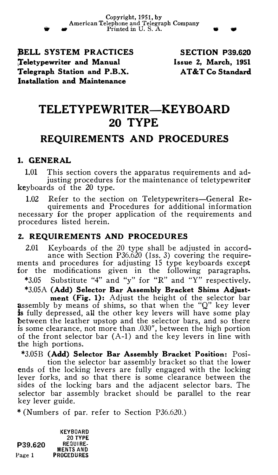**BELL SYSTEM PRACTICES** Teletypewriter and Manual Telegraph Station and P.B.X. Installation and Maintenance

SECTION P39.620 Issue 2, March, 1951 AT&T Co Standard

. .

## TELETYPEWRITER-KEYBOARD 20 TYPE

## REQUIREMENTS AND PROCEDURES

## 1. GENERAL

1.01 This section covers the apparatus requirements and adjusting procedures for the maintenance of teletypewriter keyboards of the 20 type.

1.02 Refer to the section on Teletypewriters-General Requirements and Procedures for additional information necessary for the proper application of the requirements and procedures listed herein.

## 2. REQUIREMENTS AND PROCEDURES

2.01 Keyboards of the 20 type shall be adjusted in accord-ance with Section P36.620 (Iss. 3) covering the require-ments and procedures for adjusting 15 type keyboards except for the modifications given in the following paragraphs.

\*3.05 Substitute "4" and "y" for "R" and "Y" respectively.

\*3.05A (Add) Selector Bar Assembly Bracket Shims Acljust-

ment (Fig. 1): Adjust the height of the selector bar assembly by means of shims, so that when the "Q" key lever is fully depressed, all the other key levers will have some play between the leather upstop and the selector bars, and so there is some clearance, not more than .030", between the high portion of the front selector bar (A-1) and the key levers in line with the high portions.

\*3.05B (Add) Selector Bar Assembly Bracket Position: Posi-

tion the selector bar assembly bracket so that the lower ends of the locking levers are fully engaged with the locking lever forks, and so that there is some clearance between the sides of the locking bars and the adjacent selector bars. The selector bar assembly bracket should be parallel to the rear key lever guide.

\*(Numbers of par. refer to Section P36.620.)

P39.620 Page 1 I<EYBOARD 20 TYPE REQUIRE-MENTS AND PROCEDURES